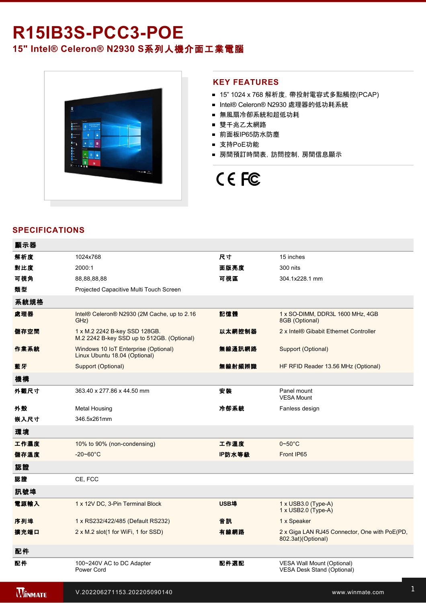# **R15IB3S-PCC3-POE**

### **15" Intel® Celeron® N2930 S**系列人機介面工業電腦



#### **KEY FEATURES**

- 15" 1024 x 768 解析度, 帶投射電容式多點觸控(PCAP)
- Intel® Celeron® N2930 處理器的低功耗系統
- 無風扇冷卻系統和超低功耗
- 雙千兆乙太網路
- 前面板IP65防水防塵
- 支持PoE功能
- 房間預訂時間表,訪問控制,房間信息顯示

## CE FC

#### **SPECIFICATIONS**

| 顯示器            |                                                                             |             |                                                                        |
|----------------|-----------------------------------------------------------------------------|-------------|------------------------------------------------------------------------|
| 解析度            | 1024x768                                                                    | 尺寸          | 15 inches                                                              |
| 對比度            | 2000:1                                                                      | 面版亮度        | 300 nits                                                               |
| 可視角            | 88,88,88,88                                                                 | 可視區         | 304.1x228.1 mm                                                         |
| 類型             | Projected Capacitive Multi Touch Screen                                     |             |                                                                        |
| 系統規格           |                                                                             |             |                                                                        |
| 處理器            | Intel® Celeron® N2930 (2M Cache, up to 2.16<br>GHz)                         | 記憶體         | 1 x SO-DIMM, DDR3L 1600 MHz, 4GB<br>8GB (Optional)                     |
| 儲存空間           | 1 x M.2 2242 B-key SSD 128GB.<br>M.2 2242 B-key SSD up to 512GB. (Optional) | 以太網控制器      | 2 x Intel® Gibabit Ethernet Controller                                 |
| 作業系統           | Windows 10 IoT Enterprise (Optional)<br>Linux Ubuntu 18.04 (Optional)       | 無線通訊網路      | Support (Optional)                                                     |
| 藍牙             | Support (Optional)                                                          | 無線射頻辨識      | HF RFID Reader 13.56 MHz (Optional)                                    |
| 機構             |                                                                             |             |                                                                        |
| 外觀尺寸           | 363.40 x 277.86 x 44.50 mm                                                  | 安装          | Panel mount<br><b>VESA Mount</b>                                       |
| 外殼             | <b>Metal Housing</b>                                                        | 冷卻系統        | Fanless design                                                         |
| 嵌入尺寸           | 346.5x261mm                                                                 |             |                                                                        |
| 環境             |                                                                             |             |                                                                        |
| 工作濕度           | 10% to 90% (non-condensing)                                                 | 工作溫度        | $0 - 50$ °C                                                            |
| 儲存溫度           | $-20 - 60^{\circ}$ C                                                        | IP防水等級      | Front IP65                                                             |
| 認證             |                                                                             |             |                                                                        |
| 認證             | CE, FCC                                                                     |             |                                                                        |
| 訊號埠            |                                                                             |             |                                                                        |
| 電源輸入           | 1 x 12V DC, 3-Pin Terminal Block                                            | <b>USB埠</b> | $1 \times$ USB3.0 (Type-A)<br>1 x USB2.0 (Type-A)                      |
| 序列埠            | 1 x RS232/422/485 (Default RS232)                                           | 音訊          | 1 x Speaker                                                            |
| 擴充端口           | 2 x M.2 slot(1 for WiFi, 1 for SSD)                                         | 有線網路        | 2 x Giga LAN RJ45 Connector, One with PoE(PD,<br>802.3at)(Optional)    |
| 配件             |                                                                             |             |                                                                        |
| 配件             | 100~240V AC to DC Adapter<br>Power Cord                                     | 配件選配        | <b>VESA Wall Mount (Optional)</b><br><b>VESA Desk Stand (Optional)</b> |
| <b>WINMATE</b> | V.202206271153.202205090140                                                 |             | www.winmate.com                                                        |